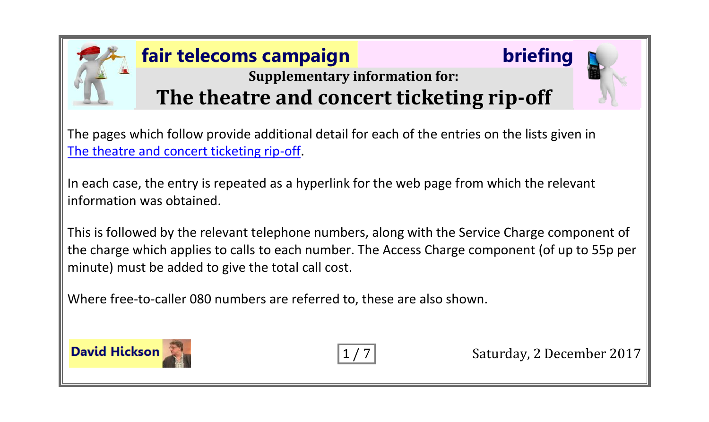## **fair telecoms campaign briefing**



## **Supplementary information for: The theatre and concert ticketing rip-off**

The pages which follow provide additional detail for each of the entries on the lists given in [The theatre and concert ticketing rip-off.](http://www.fairtelecoms.org.uk/docs.html?tickets)

In each case, the entry is repeated as a hyperlink for the web page from which the relevant information was obtained.

This is followed by the relevant telephone numbers, along with the Service Charge component of the charge which applies to calls to each number. The Access Charge component (of up to 55p per minute) must be added to give the total call cost.

Where free-to-caller 080 numbers are referred to, these are also shown.



1/7 Saturday, 2 December 2017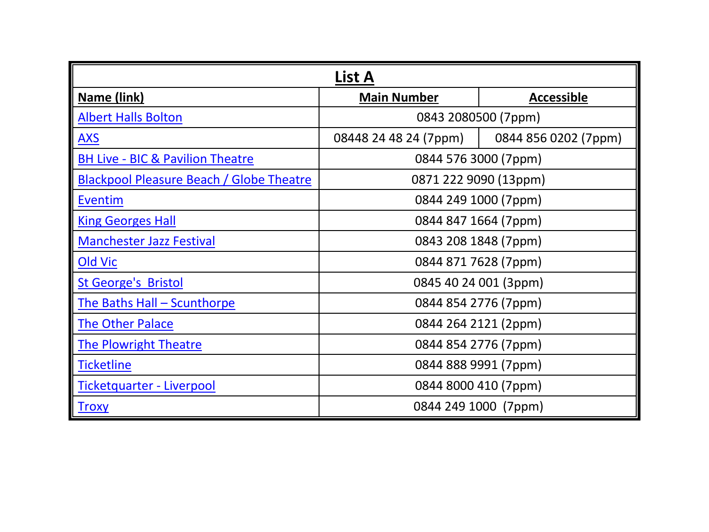| List A                                      |                                         |                      |
|---------------------------------------------|-----------------------------------------|----------------------|
| Name (link)                                 | <b>Main Number</b><br><b>Accessible</b> |                      |
| <b>Albert Halls Bolton</b>                  | 0843 2080500 (7ppm)                     |                      |
| <u>AXS</u>                                  | 08448 24 48 24 (7ppm)                   | 0844 856 0202 (7ppm) |
| <b>BH Live - BIC &amp; Pavilion Theatre</b> | 0844 576 3000 (7ppm)                    |                      |
| Blackpool Pleasure Beach / Globe Theatre    | 0871 222 9090 (13ppm)                   |                      |
| Eventim                                     | 0844 249 1000 (7ppm)                    |                      |
| <b>King Georges Hall</b>                    | 0844 847 1664 (7ppm)                    |                      |
| <b>Manchester Jazz Festival</b>             | 0843 208 1848 (7ppm)                    |                      |
| Old Vic                                     | 0844 871 7628 (7ppm)                    |                      |
| <b>St George's Bristol</b>                  | 0845 40 24 001 (3ppm)                   |                      |
| The Baths Hall - Scunthorpe                 | 0844 854 2776 (7ppm)                    |                      |
| <b>The Other Palace</b>                     | 0844 264 2121 (2ppm)                    |                      |
| <b>The Plowright Theatre</b>                | 0844 854 2776 (7ppm)                    |                      |
| <b>Ticketline</b>                           |                                         | 0844 888 9991 (7ppm) |
| Ticketquarter - Liverpool                   |                                         | 0844 8000 410 (7ppm) |
| <b>Troxy</b>                                |                                         | 0844 249 1000 (7ppm) |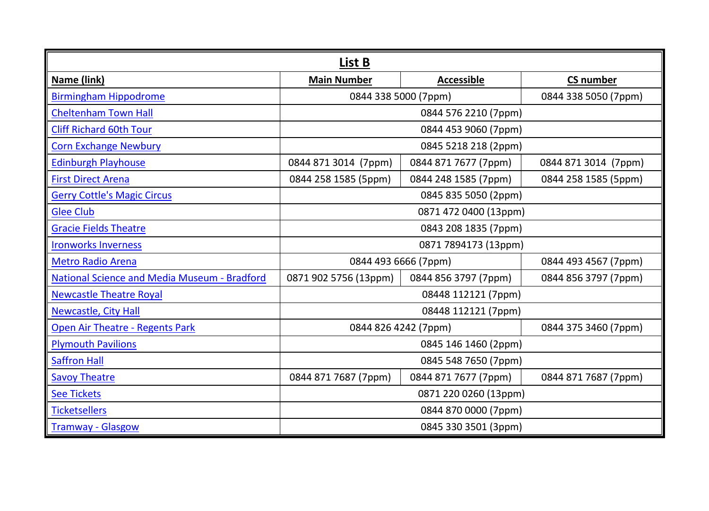| List B                                              |                                              |                      |                      |
|-----------------------------------------------------|----------------------------------------------|----------------------|----------------------|
| Name (link)                                         | <b>Main Number</b>                           | <b>Accessible</b>    | <b>CS number</b>     |
| <b>Birmingham Hippodrome</b>                        | 0844 338 5050 (7ppm)<br>0844 338 5000 (7ppm) |                      |                      |
| <b>Cheltenham Town Hall</b>                         | 0844 576 2210 (7ppm)                         |                      |                      |
| <b>Cliff Richard 60th Tour</b>                      | 0844 453 9060 (7ppm)                         |                      |                      |
| <b>Corn Exchange Newbury</b>                        |                                              | 0845 5218 218 (2ppm) |                      |
| <b>Edinburgh Playhouse</b>                          | 0844 871 3014 (7ppm)                         | 0844 871 7677 (7ppm) | 0844 871 3014 (7ppm) |
| <b>First Direct Arena</b>                           | 0844 258 1585 (5ppm)                         | 0844 248 1585 (7ppm) | 0844 258 1585 (5ppm) |
| <b>Gerry Cottle's Magic Circus</b>                  | 0845 835 5050 (2ppm)                         |                      |                      |
| <b>Glee Club</b>                                    | 0871 472 0400 (13ppm)                        |                      |                      |
| <b>Gracie Fields Theatre</b>                        | 0843 208 1835 (7ppm)                         |                      |                      |
| <b>Ironworks Inverness</b>                          | 0871 7894173 (13ppm)                         |                      |                      |
| <b>Metro Radio Arena</b>                            | 0844 493 4567 (7ppm)<br>0844 493 6666 (7ppm) |                      |                      |
| <b>National Science and Media Museum - Bradford</b> | 0871 902 5756 (13ppm)                        | 0844 856 3797 (7ppm) | 0844 856 3797 (7ppm) |
| <b>Newcastle Theatre Royal</b>                      | 08448 112121 (7ppm)                          |                      |                      |
| Newcastle, City Hall                                | 08448 112121 (7ppm)                          |                      |                      |
| <b>Open Air Theatre - Regents Park</b>              | 0844 375 3460 (7ppm)<br>0844 826 4242 (7ppm) |                      |                      |
| <b>Plymouth Pavilions</b>                           | 0845 146 1460 (2ppm)                         |                      |                      |
| <b>Saffron Hall</b>                                 | 0845 548 7650 (7ppm)                         |                      |                      |
| <b>Savoy Theatre</b>                                | 0844 871 7687 (7ppm)                         | 0844 871 7677 (7ppm) | 0844 871 7687 (7ppm) |
| <b>See Tickets</b>                                  | 0871 220 0260 (13ppm)                        |                      |                      |
| <b>Ticketsellers</b>                                | 0844 870 0000 (7ppm)                         |                      |                      |
| <b>Tramway - Glasgow</b>                            | 0845 330 3501 (3ppm)                         |                      |                      |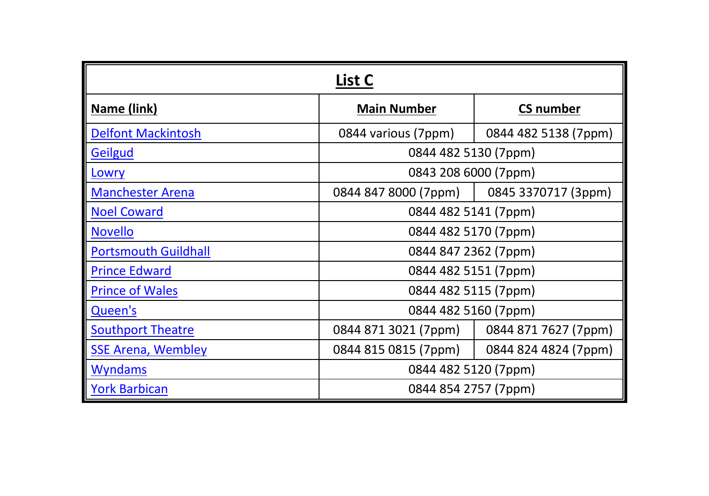| List C                      |                      |                      |
|-----------------------------|----------------------|----------------------|
| Name (link)                 | <b>Main Number</b>   | <b>CS number</b>     |
| <b>Delfont Mackintosh</b>   | 0844 various (7ppm)  | 0844 482 5138 (7ppm) |
| Geilgud                     | 0844 482 5130 (7ppm) |                      |
| Lowry                       | 0843 208 6000 (7ppm) |                      |
| <b>Manchester Arena</b>     | 0844 847 8000 (7ppm) | 0845 3370717 (3ppm)  |
| <b>Noel Coward</b>          | 0844 482 5141 (7ppm) |                      |
| <b>Novello</b>              | 0844 482 5170 (7ppm) |                      |
| <b>Portsmouth Guildhall</b> | 0844 847 2362 (7ppm) |                      |
| <b>Prince Edward</b>        | 0844 482 5151 (7ppm) |                      |
| <b>Prince of Wales</b>      | 0844 482 5115 (7ppm) |                      |
| Queen's                     | 0844 482 5160 (7ppm) |                      |
| <b>Southport Theatre</b>    | 0844 871 3021 (7ppm) | 0844 871 7627 (7ppm) |
| <b>SSE Arena, Wembley</b>   | 0844 815 0815 (7ppm) | 0844 824 4824 (7ppm) |
| <b>Wyndams</b>              | 0844 482 5120 (7ppm) |                      |
| <b>York Barbican</b>        | 0844 854 2757 (7ppm) |                      |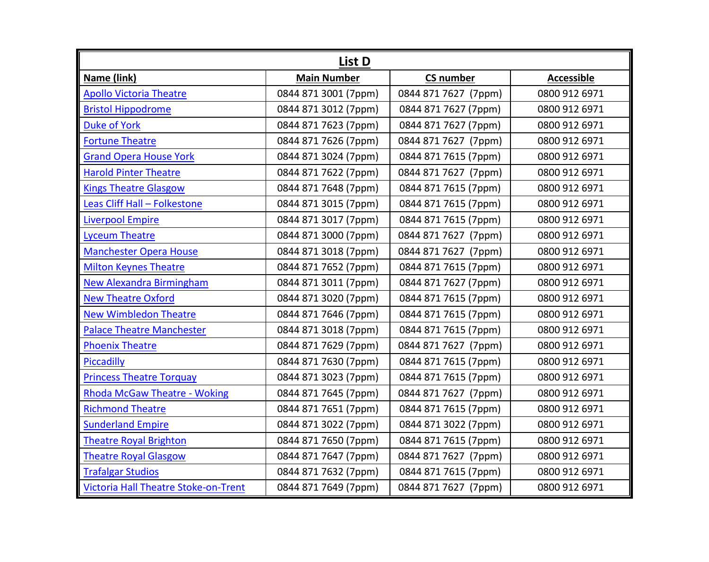| List D                               |                      |                      |                   |
|--------------------------------------|----------------------|----------------------|-------------------|
| Name (link)                          | <b>Main Number</b>   | <b>CS number</b>     | <b>Accessible</b> |
| <b>Apollo Victoria Theatre</b>       | 0844 871 3001 (7ppm) | 0844 871 7627 (7ppm) | 0800 912 6971     |
| <b>Bristol Hippodrome</b>            | 0844 871 3012 (7ppm) | 0844 871 7627 (7ppm) | 0800 912 6971     |
| <b>Duke of York</b>                  | 0844 871 7623 (7ppm) | 0844 871 7627 (7ppm) | 0800 912 6971     |
| <b>Fortune Theatre</b>               | 0844 871 7626 (7ppm) | 0844 871 7627 (7ppm) | 0800 912 6971     |
| <b>Grand Opera House York</b>        | 0844 871 3024 (7ppm) | 0844 871 7615 (7ppm) | 0800 912 6971     |
| <b>Harold Pinter Theatre</b>         | 0844 871 7622 (7ppm) | 0844 871 7627 (7ppm) | 0800 912 6971     |
| <b>Kings Theatre Glasgow</b>         | 0844 871 7648 (7ppm) | 0844 871 7615 (7ppm) | 0800 912 6971     |
| Leas Cliff Hall - Folkestone         | 0844 871 3015 (7ppm) | 0844 871 7615 (7ppm) | 0800 912 6971     |
| <b>Liverpool Empire</b>              | 0844 871 3017 (7ppm) | 0844 871 7615 (7ppm) | 0800 912 6971     |
| <b>Lyceum Theatre</b>                | 0844 871 3000 (7ppm) | 0844 871 7627 (7ppm) | 0800 912 6971     |
| <b>Manchester Opera House</b>        | 0844 871 3018 (7ppm) | 0844 871 7627 (7ppm) | 0800 912 6971     |
| <b>Milton Keynes Theatre</b>         | 0844 871 7652 (7ppm) | 0844 871 7615 (7ppm) | 0800 912 6971     |
| <b>New Alexandra Birmingham</b>      | 0844 871 3011 (7ppm) | 0844 871 7627 (7ppm) | 0800 912 6971     |
| <b>New Theatre Oxford</b>            | 0844 871 3020 (7ppm) | 0844 871 7615 (7ppm) | 0800 912 6971     |
| <b>New Wimbledon Theatre</b>         | 0844 871 7646 (7ppm) | 0844 871 7615 (7ppm) | 0800 912 6971     |
| <b>Palace Theatre Manchester</b>     | 0844 871 3018 (7ppm) | 0844 871 7615 (7ppm) | 0800 912 6971     |
| <b>Phoenix Theatre</b>               | 0844 871 7629 (7ppm) | 0844 871 7627 (7ppm) | 0800 912 6971     |
| Piccadilly                           | 0844 871 7630 (7ppm) | 0844 871 7615 (7ppm) | 0800 912 6971     |
| <b>Princess Theatre Torquay</b>      | 0844 871 3023 (7ppm) | 0844 871 7615 (7ppm) | 0800 912 6971     |
| <b>Rhoda McGaw Theatre - Woking</b>  | 0844 871 7645 (7ppm) | 0844 871 7627 (7ppm) | 0800 912 6971     |
| <b>Richmond Theatre</b>              | 0844 871 7651 (7ppm) | 0844 871 7615 (7ppm) | 0800 912 6971     |
| <b>Sunderland Empire</b>             | 0844 871 3022 (7ppm) | 0844 871 3022 (7ppm) | 0800 912 6971     |
| <b>Theatre Royal Brighton</b>        | 0844 871 7650 (7ppm) | 0844 871 7615 (7ppm) | 0800 912 6971     |
| <b>Theatre Royal Glasgow</b>         | 0844 871 7647 (7ppm) | 0844 871 7627 (7ppm) | 0800 912 6971     |
| <b>Trafalgar Studios</b>             | 0844 871 7632 (7ppm) | 0844 871 7615 (7ppm) | 0800 912 6971     |
| Victoria Hall Theatre Stoke-on-Trent | 0844 871 7649 (7ppm) | 0844 871 7627 (7ppm) | 0800 912 6971     |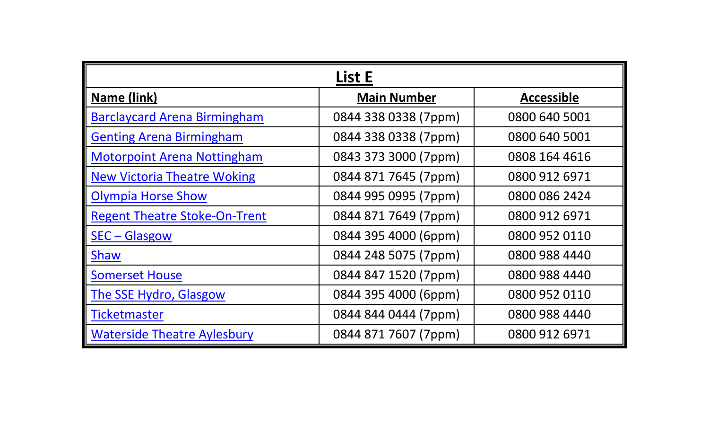| List E                               |                      |                   |
|--------------------------------------|----------------------|-------------------|
| Name (link)                          | <b>Main Number</b>   | <b>Accessible</b> |
| <b>Barclaycard Arena Birmingham</b>  | 0844 338 0338 (7ppm) | 0800 640 5001     |
| <b>Genting Arena Birmingham</b>      | 0844 338 0338 (7ppm) | 0800 640 5001     |
| <b>Motorpoint Arena Nottingham</b>   | 0843 373 3000 (7ppm) | 0808 164 4616     |
| <b>New Victoria Theatre Woking</b>   | 0844 871 7645 (7ppm) | 0800 912 6971     |
| <b>Olympia Horse Show</b>            | 0844 995 0995 (7ppm) | 0800 086 2424     |
| <b>Regent Theatre Stoke-On-Trent</b> | 0844 871 7649 (7ppm) | 0800 912 6971     |
| SEC - Glasgow                        | 0844 395 4000 (6ppm) | 0800 952 0110     |
| <b>Shaw</b>                          | 0844 248 5075 (7ppm) | 0800 988 4440     |
| <b>Somerset House</b>                | 0844 847 1520 (7ppm) | 0800 988 4440     |
| The SSE Hydro, Glasgow               | 0844 395 4000 (6ppm) | 0800 952 0110     |
| Ticketmaster                         | 0844 844 0444 (7ppm) | 0800 988 4440     |
| <b>Waterside Theatre Aylesbury</b>   | 0844 871 7607 (7ppm) | 0800 912 6971     |